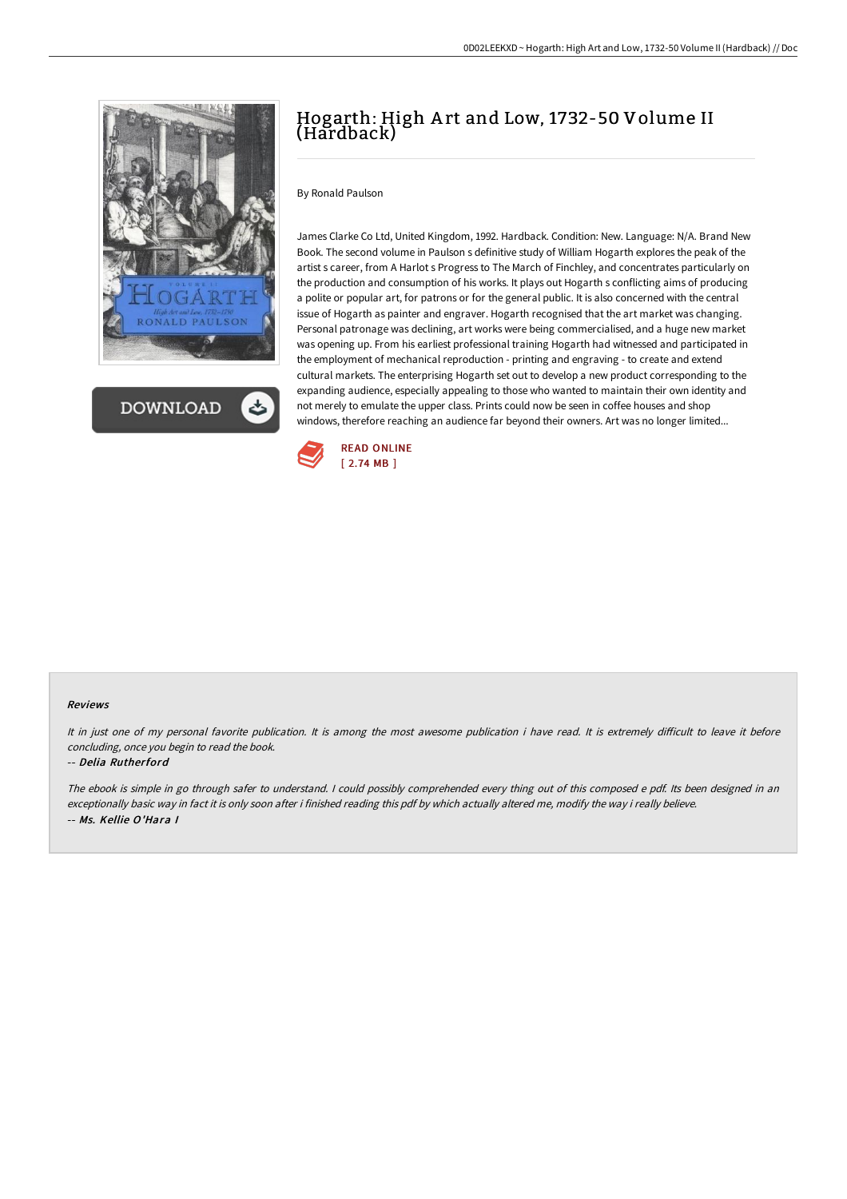

**DOWNLOAD** 

# Hogarth: High A rt and Low, 1732-50 Volume II (Hardback)

## By Ronald Paulson

James Clarke Co Ltd, United Kingdom, 1992. Hardback. Condition: New. Language: N/A. Brand New Book. The second volume in Paulson s definitive study of William Hogarth explores the peak of the artist s career, from A Harlot s Progress to The March of Finchley, and concentrates particularly on the production and consumption of his works. It plays out Hogarth s conflicting aims of producing a polite or popular art, for patrons or for the general public. It is also concerned with the central issue of Hogarth as painter and engraver. Hogarth recognised that the art market was changing. Personal patronage was declining, art works were being commercialised, and a huge new market was opening up. From his earliest professional training Hogarth had witnessed and participated in the employment of mechanical reproduction - printing and engraving - to create and extend cultural markets. The enterprising Hogarth set out to develop a new product corresponding to the expanding audience, especially appealing to those who wanted to maintain their own identity and not merely to emulate the upper class. Prints could now be seen in coffee houses and shop windows, therefore reaching an audience far beyond their owners. Art was no longer limited...



#### Reviews

It in just one of my personal favorite publication. It is among the most awesome publication i have read. It is extremely difficult to leave it before concluding, once you begin to read the book.

### -- Delia Rutherford

The ebook is simple in go through safer to understand. <sup>I</sup> could possibly comprehended every thing out of this composed <sup>e</sup> pdf. Its been designed in an exceptionally basic way in fact it is only soon after i finished reading this pdf by which actually altered me, modify the way i really believe. -- Ms. Kellie O'Hara I